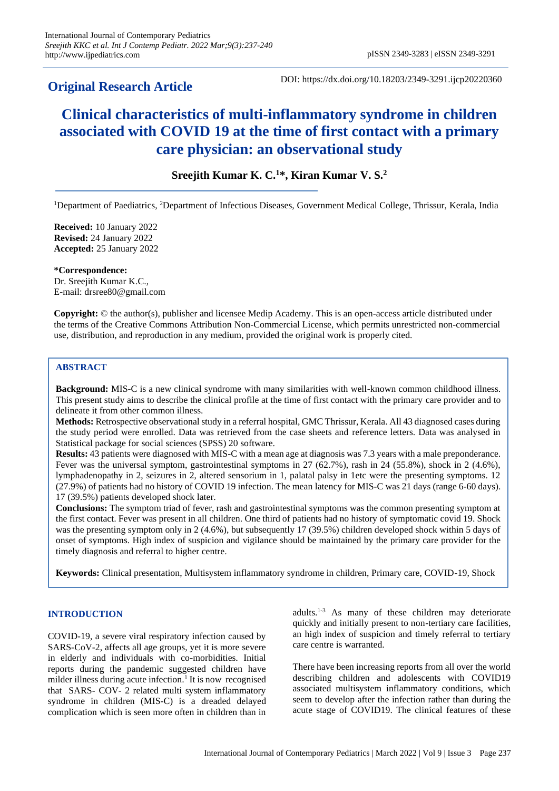# **Original Research Article**

DOI: https://dx.doi.org/10.18203/2349-3291.ijcp20220360

# **Clinical characteristics of multi-inflammatory syndrome in children associated with COVID 19 at the time of first contact with a primary care physician: an observational study**

# **Sreejith Kumar K. C.<sup>1</sup>\*, Kiran Kumar V. S.<sup>2</sup>**

<sup>1</sup>Department of Paediatrics, <sup>2</sup>Department of Infectious Diseases, Government Medical College, Thrissur, Kerala, India

**Received:** 10 January 2022 **Revised:** 24 January 2022 **Accepted:** 25 January 2022

**\*Correspondence:** Dr. Sreejith Kumar K.C., E-mail: drsree80@gmail.com

**Copyright:** © the author(s), publisher and licensee Medip Academy. This is an open-access article distributed under the terms of the Creative Commons Attribution Non-Commercial License, which permits unrestricted non-commercial use, distribution, and reproduction in any medium, provided the original work is properly cited.

# **ABSTRACT**

**Background:** MIS-C is a new clinical syndrome with many similarities with well-known common childhood illness. This present study aims to describe the clinical profile at the time of first contact with the primary care provider and to delineate it from other common illness.

**Methods:** Retrospective observational study in a referral hospital, GMC Thrissur, Kerala. All 43 diagnosed cases during the study period were enrolled. Data was retrieved from the case sheets and reference letters. Data was analysed in Statistical package for social sciences (SPSS) 20 software.

**Results:** 43 patients were diagnosed with MIS-C with a mean age at diagnosis was 7.3 years with a male preponderance. Fever was the universal symptom, gastrointestinal symptoms in 27 (62.7%), rash in 24 (55.8%), shock in 2 (4.6%), lymphadenopathy in 2, seizures in 2, altered sensorium in 1, palatal palsy in 1etc were the presenting symptoms. 12 (27.9%) of patients had no history of COVID 19 infection. The mean latency for MIS-C was 21 days (range 6-60 days). 17 (39.5%) patients developed shock later.

**Conclusions:** The symptom triad of fever, rash and gastrointestinal symptoms was the common presenting symptom at the first contact. Fever was present in all children. One third of patients had no history of symptomatic covid 19. Shock was the presenting symptom only in 2 (4.6%), but subsequently 17 (39.5%) children developed shock within 5 days of onset of symptoms. High index of suspicion and vigilance should be maintained by the primary care provider for the timely diagnosis and referral to higher centre.

**Keywords:** Clinical presentation, Multisystem inflammatory syndrome in children, Primary care, COVID-19, Shock

# **INTRODUCTION**

COVID-19, a severe viral respiratory infection caused by SARS-CoV-2, affects all age groups, yet it is more severe in elderly and individuals with co-morbidities. Initial reports during the pandemic suggested children have milder illness during acute infection.<sup>1</sup> It is now recognised that SARS- COV- 2 related multi system inflammatory syndrome in children (MIS-C) is a dreaded delayed complication which is seen more often in children than in adults.1-3 As many of these children may deteriorate quickly and initially present to non-tertiary care facilities, an high index of suspicion and timely referral to tertiary care centre is warranted.

There have been increasing reports from all over the world describing children and adolescents with COVID19 associated multisystem inflammatory conditions, which seem to develop after the infection rather than during the acute stage of COVID19. The clinical features of these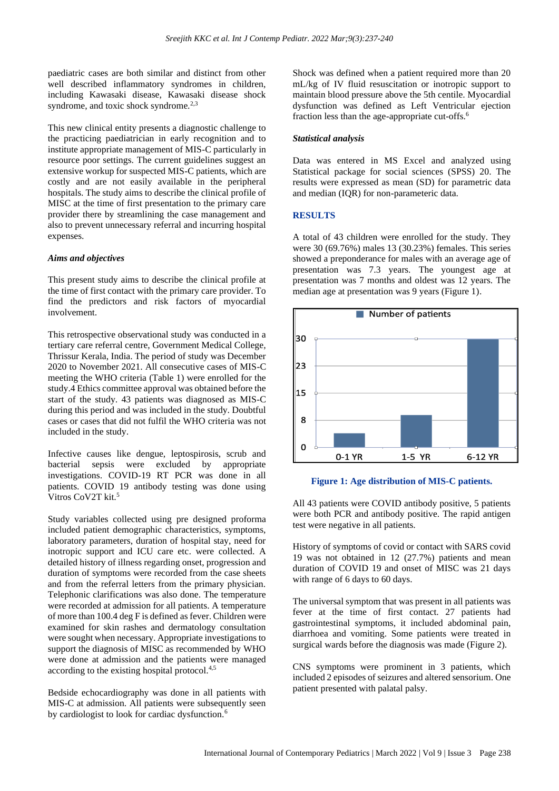paediatric cases are both similar and distinct from other well described inflammatory syndromes in children, including Kawasaki disease, Kawasaki disease shock syndrome, and toxic shock syndrome.<sup>2,3</sup>

This new clinical entity presents a diagnostic challenge to the practicing paediatrician in early recognition and to institute appropriate management of MIS-C particularly in resource poor settings. The current guidelines suggest an extensive workup for suspected MIS-C patients, which are costly and are not easily available in the peripheral hospitals. The study aims to describe the clinical profile of MISC at the time of first presentation to the primary care provider there by streamlining the case management and also to prevent unnecessary referral and incurring hospital expenses.

#### *Aims and objectives*

This present study aims to describe the clinical profile at the time of first contact with the primary care provider. To find the predictors and risk factors of myocardial involvement.

This retrospective observational study was conducted in a tertiary care referral centre, Government Medical College, Thrissur Kerala, India. The period of study was December 2020 to November 2021. All consecutive cases of MIS-C meeting the WHO criteria (Table 1) were enrolled for the study.4 Ethics committee approval was obtained before the start of the study. 43 patients was diagnosed as MIS-C during this period and was included in the study. Doubtful cases or cases that did not fulfil the WHO criteria was not included in the study.

Infective causes like dengue, leptospirosis, scrub and bacterial sepsis were excluded by appropriate investigations. COVID-19 RT PCR was done in all patients. COVID 19 antibody testing was done using Vitros CoV<sub>2T</sub> kit.<sup>5</sup>

Study variables collected using pre designed proforma included patient demographic characteristics, symptoms, laboratory parameters, duration of hospital stay, need for inotropic support and ICU care etc. were collected. A detailed history of illness regarding onset, progression and duration of symptoms were recorded from the case sheets and from the referral letters from the primary physician. Telephonic clarifications was also done. The temperature were recorded at admission for all patients. A temperature of more than 100.4 deg F is defined as fever. Children were examined for skin rashes and dermatology consultation were sought when necessary. Appropriate investigations to support the diagnosis of MISC as recommended by WHO were done at admission and the patients were managed according to the existing hospital protocol.4,5

Bedside echocardiography was done in all patients with MIS-C at admission. All patients were subsequently seen by cardiologist to look for cardiac dysfunction.<sup>6</sup>

Shock was defined when a patient required more than 20 mL/kg of IV fluid resuscitation or inotropic support to maintain blood pressure above the 5th centile. Myocardial dysfunction was defined as Left Ventricular ejection fraction less than the age-appropriate cut-offs.<sup>6</sup>

#### *Statistical analysis*

Data was entered in MS Excel and analyzed using Statistical package for social sciences (SPSS) 20. The results were expressed as mean (SD) for parametric data and median (IQR) for non-parameteric data.

#### **RESULTS**

A total of 43 children were enrolled for the study. They were 30 (69.76%) males 13 (30.23%) females. This series showed a preponderance for males with an average age of presentation was 7.3 years. The youngest age at presentation was 7 months and oldest was 12 years. The median age at presentation was 9 years (Figure 1).



#### **Figure 1: Age distribution of MIS-C patients.**

All 43 patients were COVID antibody positive, 5 patients were both PCR and antibody positive. The rapid antigen test were negative in all patients.

History of symptoms of covid or contact with SARS covid 19 was not obtained in 12 (27.7%) patients and mean duration of COVID 19 and onset of MISC was 21 days with range of 6 days to 60 days.

The universal symptom that was present in all patients was fever at the time of first contact. 27 patients had gastrointestinal symptoms, it included abdominal pain, diarrhoea and vomiting. Some patients were treated in surgical wards before the diagnosis was made (Figure 2).

CNS symptoms were prominent in 3 patients, which included 2 episodes of seizures and altered sensorium. One patient presented with palatal palsy.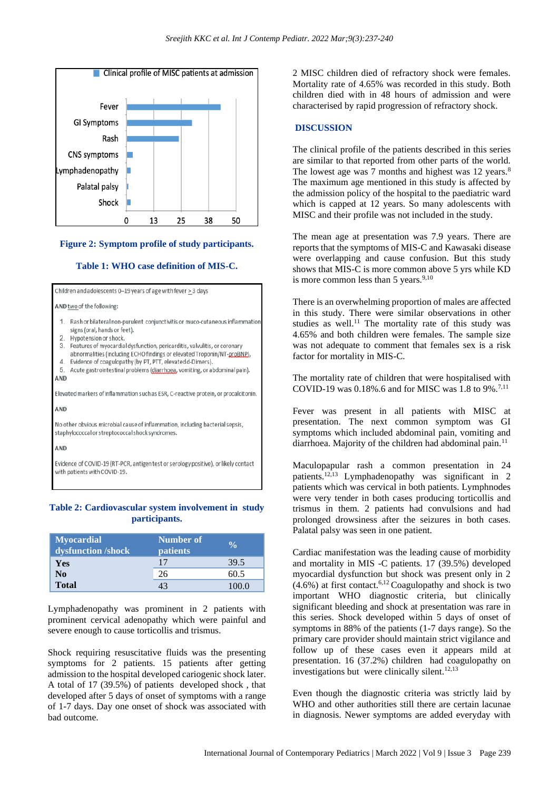

#### **Figure 2: Symptom profile of study participants.**

#### **Table 1: WHO case definition of MIS-C.**

Children and adolescents 0-19 years of age with fever  $\geq$  3 days AND two of the following: Rash or bilateral non-purulent conjunctivitis or muco-cutaneous inflammation signs (oral, hands or feet). Hypotension or shock. Features of myocardial dysfunction, pericarditis, valvulitis, or coronary abnormalities (including ECHO findings or elevated Troponin/NT-proBNP), 4. Evidence of coagulopathy (by PT, PTT, elevated d-Dimers). 5. Acute gastrointestinal problems (diarrhoea, vomiting, or abdominal pain). **AND** Elevated markers of inflammation such as ESR, C-reactive protein, or procalcitonin. **AND** No other obvious microbial cause of inflammation, including bacterial sepsis, staphylococcal or streptococcal shock syndromes.

AND

Evidence of COVID-19 (RT-PCR, antigen test or serology positive), or likely contact with patients with COVID-19.

## **Table 2: Cardiovascular system involvement in study participants.**

| <b>Myocardial</b><br>dysfunction /shock | Number of<br><b>patients</b> |      |
|-----------------------------------------|------------------------------|------|
| Yes                                     |                              | 39.5 |
| N <sub>0</sub>                          | 26                           | 60.5 |
| <b>Total</b>                            |                              |      |

Lymphadenopathy was prominent in 2 patients with prominent cervical adenopathy which were painful and severe enough to cause torticollis and trismus.

Shock requiring resuscitative fluids was the presenting symptoms for 2 patients. 15 patients after getting admission to the hospital developed cariogenic shock later. A total of 17 (39.5%) of patients developed shock , that developed after 5 days of onset of symptoms with a range of 1-7 days. Day one onset of shock was associated with bad outcome.

2 MISC children died of refractory shock were females. Mortality rate of 4.65% was recorded in this study. Both children died with in 48 hours of admission and were characterised by rapid progression of refractory shock.

## **DISCUSSION**

The clinical profile of the patients described in this series are similar to that reported from other parts of the world. The lowest age was 7 months and highest was 12 years.<sup>8</sup> The maximum age mentioned in this study is affected by the admission policy of the hospital to the paediatric ward which is capped at 12 years. So many adolescents with MISC and their profile was not included in the study.

The mean age at presentation was 7.9 years. There are reports that the symptoms of MIS-C and Kawasaki disease were overlapping and cause confusion. But this study shows that MIS-C is more common above 5 yrs while KD is more common less than  $5$  years.<sup>9,10</sup>

There is an overwhelming proportion of males are affected in this study. There were similar observations in other studies as well.<sup>11</sup> The mortality rate of this study was 4.65% and both children were females. The sample size was not adequate to comment that females sex is a risk factor for mortality in MIS-C.

The mortality rate of children that were hospitalised with COVID-19 was 0.18%.6 and for MISC was 1.8 to 9%.<sup>7,11</sup>

Fever was present in all patients with MISC at presentation. The next common symptom was GI symptoms which included abdominal pain, vomiting and diarrhoea. Majority of the children had abdominal pain.<sup>11</sup>

Maculopapular rash a common presentation in 24 patients.12,13 Lymphadenopathy was significant in 2 patients which was cervical in both patients. Lymphnodes were very tender in both cases producing torticollis and trismus in them. 2 patients had convulsions and had prolonged drowsiness after the seizures in both cases. Palatal palsy was seen in one patient.

Cardiac manifestation was the leading cause of morbidity and mortality in MIS -C patients. 17 (39.5%) developed myocardial dysfunction but shock was present only in 2  $(4.6\%)$  at first contact.<sup>6,12</sup> Coagulopathy and shock is two important WHO diagnostic criteria, but clinically significant bleeding and shock at presentation was rare in this series. Shock developed within 5 days of onset of symptoms in 88% of the patients (1-7 days range). So the primary care provider should maintain strict vigilance and follow up of these cases even it appears mild at presentation. 16 (37.2%) children had coagulopathy on investigations but were clinically silent.<sup>12,13</sup>

Even though the diagnostic criteria was strictly laid by WHO and other authorities still there are certain lacunae in diagnosis. Newer symptoms are added everyday with